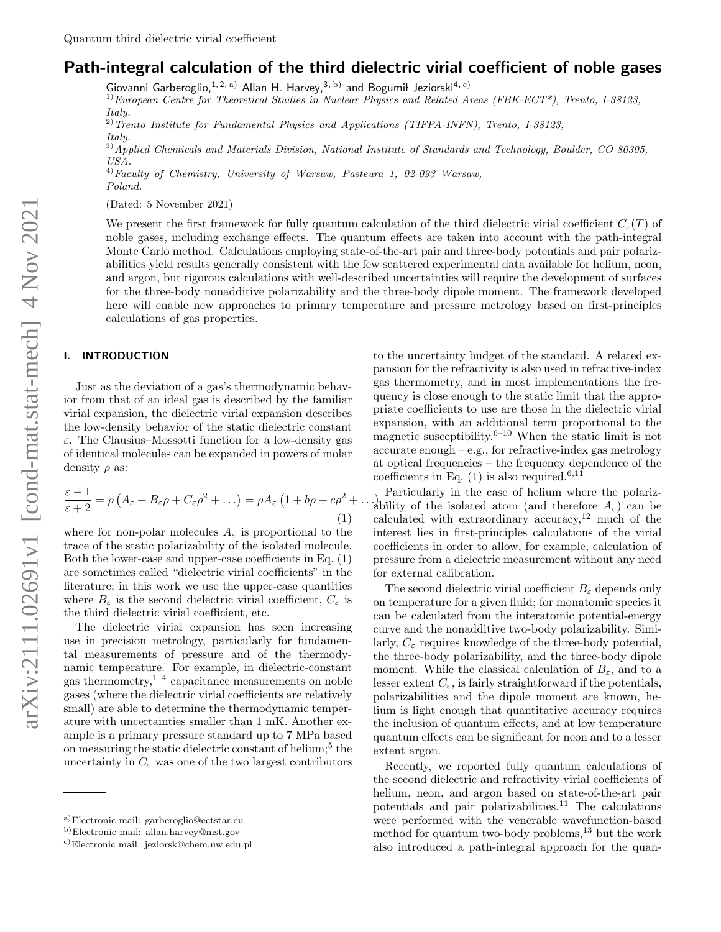# Path-integral calculation of the third dielectric virial coefficient of noble gases

Giovanni Garberoglio, <sup>1, 2, a)</sup> Allan H. Harvey, <sup>3, b)</sup> and Bogumił Jeziorski<sup>4, c)</sup>

 $1)$ European Centre for Theoretical Studies in Nuclear Physics and Related Areas (FBK-ECT\*), Trento, I-38123, Italu.

 $^{2)}$ Trento Institute for Fundamental Physics and Applications (TIFPA-INFN), Trento, I-38123, Italy.

<sup>3)</sup> Applied Chemicals and Materials Division, National Institute of Standards and Technology, Boulder, CO 80305, USA.

<sup>4)</sup> Faculty of Chemistry, University of Warsaw, Pasteura 1, 02-093 Warsaw, Poland.

(Dated: 5 November 2021)

We present the first framework for fully quantum calculation of the third dielectric virial coefficient  $C_{\epsilon}(T)$  of noble gases, including exchange effects. The quantum effects are taken into account with the path-integral Monte Carlo method. Calculations employing state-of-the-art pair and three-body potentials and pair polarizabilities yield results generally consistent with the few scattered experimental data available for helium, neon, and argon, but rigorous calculations with well-described uncertainties will require the development of surfaces for the three-body nonadditive polarizability and the three-body dipole moment. The framework developed here will enable new approaches to primary temperature and pressure metrology based on first-principles calculations of gas properties.

# I. INTRODUCTION

Just as the deviation of a gas's thermodynamic behavior from that of an ideal gas is described by the familiar virial expansion, the dielectric virial expansion describes the low-density behavior of the static dielectric constant ε. The Clausius–Mossotti function for a low-density gas of identical molecules can be expanded in powers of molar density  $\rho$  as:

$$
\frac{\varepsilon - 1}{\varepsilon + 2} = \rho \left( A_{\varepsilon} + B_{\varepsilon} \rho + C_{\varepsilon} \rho^2 + \ldots \right) = \rho A_{\varepsilon} \left( 1 + b \rho + c \rho^2 + \ldots \right) \tag{1}
$$

where for non-polar molecules  $A_{\varepsilon}$  is proportional to the trace of the static polarizability of the isolated molecule. Both the lower-case and upper-case coefficients in Eq. (1) are sometimes called "dielectric virial coefficients" in the literature; in this work we use the upper-case quantities where  $B_{\varepsilon}$  is the second dielectric virial coefficient,  $C_{\varepsilon}$  is the third dielectric virial coefficient, etc.

The dielectric virial expansion has seen increasing use in precision metrology, particularly for fundamental measurements of pressure and of the thermodynamic temperature. For example, in dielectric-constant gas thermometry, $1-4$  capacitance measurements on noble gases (where the dielectric virial coefficients are relatively small) are able to determine the thermodynamic temperature with uncertainties smaller than 1 mK. Another example is a primary pressure standard up to 7 MPa based on measuring the static dielectric constant of helium;<sup>5</sup> the uncertainty in  $C_\varepsilon$  was one of the two largest contributors to the uncertainty budget of the standard. A related expansion for the refractivity is also used in refractive-index gas thermometry, and in most implementations the frequency is close enough to the static limit that the appropriate coefficients to use are those in the dielectric virial expansion, with an additional term proportional to the magnetic susceptibility.<sup>6–10</sup> When the static limit is not  $accurate enough - e.g., for refractive-index gas methodology$ at optical frequencies – the frequency dependence of the coefficients in Eq.  $(1)$  is also required.<sup>6,11</sup>

ability of the isolated atom (and therefore  $A_{\varepsilon}$ ) can be Particularly in the case of helium where the polarizcalculated with extraordinary accuracy, $12 \text{ much of the}$ interest lies in first-principles calculations of the virial coefficients in order to allow, for example, calculation of pressure from a dielectric measurement without any need for external calibration.

The second dielectric virial coefficient  $B_{\varepsilon}$  depends only on temperature for a given fluid; for monatomic species it can be calculated from the interatomic potential-energy curve and the nonadditive two-body polarizability. Similarly,  $C_{\varepsilon}$  requires knowledge of the three-body potential, the three-body polarizability, and the three-body dipole moment. While the classical calculation of  $B_{\varepsilon}$ , and to a lesser extent  $C_{\varepsilon}$ , is fairly straightforward if the potentials, polarizabilities and the dipole moment are known, helium is light enough that quantitative accuracy requires the inclusion of quantum effects, and at low temperature quantum effects can be significant for neon and to a lesser extent argon.

Recently, we reported fully quantum calculations of the second dielectric and refractivity virial coefficients of helium, neon, and argon based on state-of-the-art pair potentials and pair polarizabilities.<sup>11</sup> The calculations were performed with the venerable wavefunction-based method for quantum two-body problems, $^{13}$  but the work also introduced a path-integral approach for the quan-

a)Electronic mail: garberoglio@ectstar.eu

b)Electronic mail: allan.harvey@nist.gov

c)Electronic mail: jeziorsk@chem.uw.edu.pl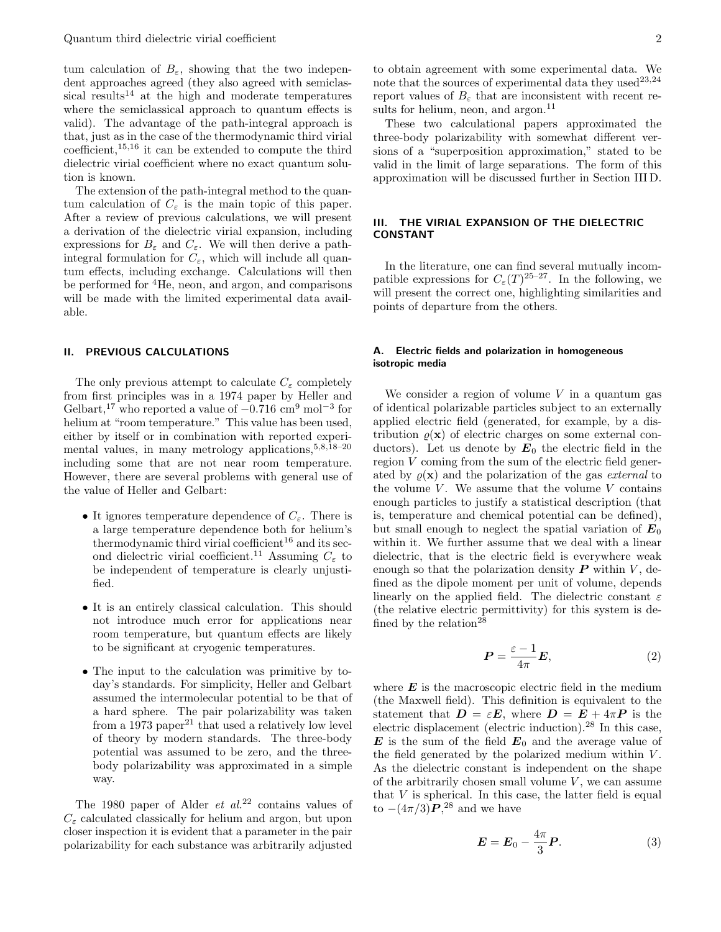tum calculation of  $B_{\varepsilon}$ , showing that the two independent approaches agreed (they also agreed with semiclassical results<sup>14</sup> at the high and moderate temperatures where the semiclassical approach to quantum effects is valid). The advantage of the path-integral approach is that, just as in the case of the thermodynamic third virial coefficient,  $15,16$  it can be extended to compute the third dielectric virial coefficient where no exact quantum solution is known.

The extension of the path-integral method to the quantum calculation of  $C_{\varepsilon}$  is the main topic of this paper. After a review of previous calculations, we will present a derivation of the dielectric virial expansion, including expressions for  $B_{\varepsilon}$  and  $C_{\varepsilon}$ . We will then derive a pathintegral formulation for  $C_{\varepsilon}$ , which will include all quantum effects, including exchange. Calculations will then be performed for  ${}^{4}$ He, neon, and argon, and comparisons will be made with the limited experimental data available.

#### II. PREVIOUS CALCULATIONS

The only previous attempt to calculate  $C_{\varepsilon}$  completely from first principles was in a 1974 paper by Heller and Gelbart,<sup>17</sup> who reported a value of  $-0.716 \text{ cm}^9 \text{ mol}^{-3}$  for helium at "room temperature." This value has been used, either by itself or in combination with reported experimental values, in many metrology applications,  $5,8,18-20$ including some that are not near room temperature. However, there are several problems with general use of the value of Heller and Gelbart:

- It ignores temperature dependence of  $C_{\varepsilon}$ . There is a large temperature dependence both for helium's thermodynamic third virial coefficient<sup>16</sup> and its second dielectric virial coefficient.<sup>11</sup> Assuming  $C_{\varepsilon}$  to be independent of temperature is clearly unjustified.
- It is an entirely classical calculation. This should not introduce much error for applications near room temperature, but quantum effects are likely to be significant at cryogenic temperatures.
- The input to the calculation was primitive by today's standards. For simplicity, Heller and Gelbart assumed the intermolecular potential to be that of a hard sphere. The pair polarizability was taken from a 1973 paper<sup>21</sup> that used a relatively low level of theory by modern standards. The three-body potential was assumed to be zero, and the threebody polarizability was approximated in a simple way.

The 1980 paper of Alder *et al.*<sup>22</sup> contains values of  $C_{\varepsilon}$  calculated classically for helium and argon, but upon closer inspection it is evident that a parameter in the pair polarizability for each substance was arbitrarily adjusted

to obtain agreement with some experimental data. We note that the sources of experimental data they used<sup>23,24</sup> report values of  $B_{\varepsilon}$  that are inconsistent with recent results for helium, neon, and  $argon.<sup>11</sup>$ 

These two calculational papers approximated the three-body polarizability with somewhat different versions of a "superposition approximation," stated to be valid in the limit of large separations. The form of this approximation will be discussed further in Section III D.

## III. THE VIRIAL EXPANSION OF THE DIELECTRIC CONSTANT

In the literature, one can find several mutually incompatible expressions for  $C_{\varepsilon}(T)^{25-27}$ . In the following, we will present the correct one, highlighting similarities and points of departure from the others.

## A. Electric fields and polarization in homogeneous isotropic media

We consider a region of volume  $V$  in a quantum gas of identical polarizable particles subject to an externally applied electric field (generated, for example, by a distribution  $\rho(\mathbf{x})$  of electric charges on some external conductors). Let us denote by  $E_0$  the electric field in the region V coming from the sum of the electric field generated by  $\rho(\mathbf{x})$  and the polarization of the gas external to the volume  $V$ . We assume that the volume  $V$  contains enough particles to justify a statistical description (that is, temperature and chemical potential can be defined), but small enough to neglect the spatial variation of  $E_0$ within it. We further assume that we deal with a linear dielectric, that is the electric field is everywhere weak enough so that the polarization density  $P$  within  $V$ , defined as the dipole moment per unit of volume, depends linearly on the applied field. The dielectric constant  $\varepsilon$ (the relative electric permittivity) for this system is defined by the relation<sup>28</sup>

$$
\boldsymbol{P} = \frac{\varepsilon - 1}{4\pi} \boldsymbol{E},\tag{2}
$$

where  $E$  is the macroscopic electric field in the medium (the Maxwell field). This definition is equivalent to the statement that  $\mathbf{D} = \varepsilon \mathbf{E}$ , where  $\mathbf{D} = \mathbf{E} + 4\pi \mathbf{P}$  is the electric displacement (electric induction).<sup>28</sup> In this case,  $\boldsymbol{E}$  is the sum of the field  $\boldsymbol{E}_0$  and the average value of the field generated by the polarized medium within  $V$ . As the dielectric constant is independent on the shape of the arbitrarily chosen small volume  $V$ , we can assume that  $V$  is spherical. In this case, the latter field is equal to  $-(4\pi/3)\boldsymbol{P}^{28}$  and we have

$$
\boldsymbol{E} = \boldsymbol{E}_0 - \frac{4\pi}{3} \boldsymbol{P}.
$$
 (3)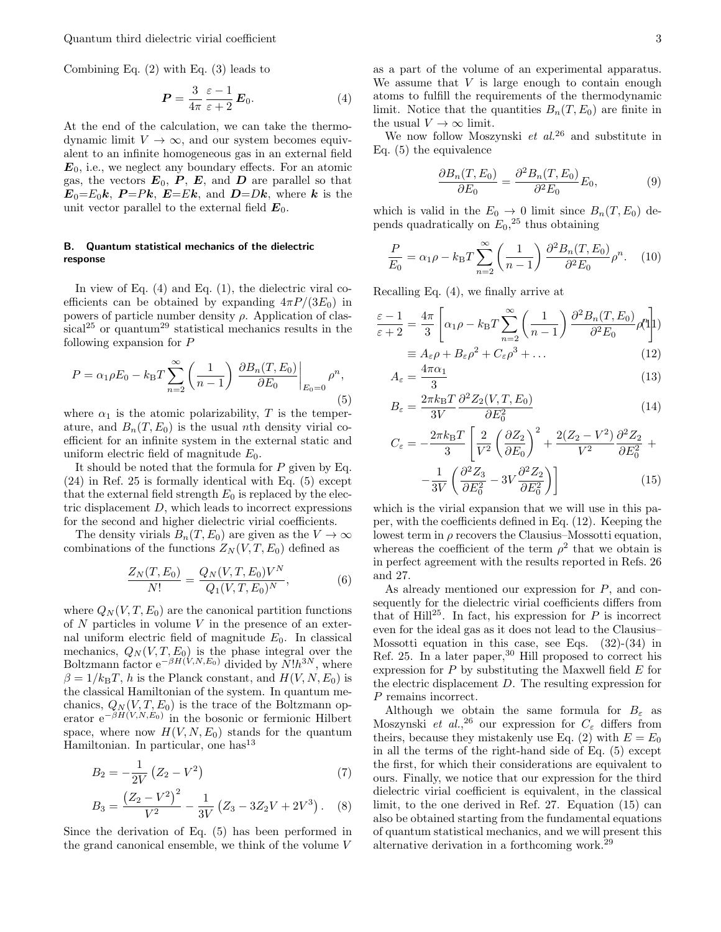Quantum third dielectric virial coefficient 3

Combining Eq. (2) with Eq. (3) leads to

$$
P = \frac{3}{4\pi} \frac{\varepsilon - 1}{\varepsilon + 2} E_0.
$$
 (4)

At the end of the calculation, we can take the thermodynamic limit  $V \to \infty$ , and our system becomes equivalent to an infinite homogeneous gas in an external field  $E_0$ , i.e., we neglect any boundary effects. For an atomic gas, the vectors  $E_0$ ,  $P$ ,  $E$ , and  $D$  are parallel so that  $E_0=E_0k$ ,  $P=Pk$ ,  $E=Ek$ , and  $D=Dk$ , where k is the unit vector parallel to the external field  $E_0$ .

## B. Quantum statistical mechanics of the dielectric response

In view of Eq. (4) and Eq. (1), the dielectric viral coefficients can be obtained by expanding  $4\pi P/(3E_0)$  in powers of particle number density  $\rho$ . Application of clas $sical<sup>25</sup>$  or quantum<sup>29</sup> statistical mechanics results in the following expansion for P

$$
P = \alpha_1 \rho E_0 - k_{\rm B} T \sum_{n=2}^{\infty} \left( \frac{1}{n-1} \right) \left. \frac{\partial B_n(T, E_0)}{\partial E_0} \right|_{E_0 = 0} \rho^n,
$$
\n(5)

where  $\alpha_1$  is the atomic polarizability, T is the temperature, and  $B_n(T, E_0)$  is the usual nth density virial coefficient for an infinite system in the external static and uniform electric field of magnitude  $E_0$ .

It should be noted that the formula for P given by Eq. (24) in Ref. 25 is formally identical with Eq. (5) except that the external field strength  $E_0$  is replaced by the electric displacement  $D$ , which leads to incorrect expressions for the second and higher dielectric virial coefficients.

The density virials  $B_n(T, E_0)$  are given as the  $V \to \infty$ combinations of the functions  $Z_N(V,T,E_0)$  defined as

$$
\frac{Z_N(T, E_0)}{N!} = \frac{Q_N(V, T, E_0)V^N}{Q_1(V, T, E_0)^N},\tag{6}
$$

where  $Q_N(V, T, E_0)$  are the canonical partition functions of  $N$  particles in volume  $V$  in the presence of an external uniform electric field of magnitude  $E_0$ . In classical mechanics,  $Q_N(V, T, E_0)$  is the phase integral over the Boltzmann factor  $e^{-\beta H(V,N,E_0)}$  divided by  $N!h^{3N}$ , where  $\beta = 1/k_BT$ , h is the Planck constant, and  $H(V, N, E_0)$  is the classical Hamiltonian of the system. In quantum mechanics,  $Q_N(V, T, E_0)$  is the trace of the Boltzmann operator  $e^{-\beta H(V,N,E_0)}$  in the bosonic or fermionic Hilbert space, where now  $H(V, N, E_0)$  stands for the quantum Hamiltonian. In particular, one has  $13$ 

$$
B_2 = -\frac{1}{2V} \left( Z_2 - V^2 \right) \tag{7}
$$

$$
B_3 = \frac{(Z_2 - V^2)^2}{V^2} - \frac{1}{3V} (Z_3 - 3Z_2V + 2V^3). \quad (8)
$$

Since the derivation of Eq. (5) has been performed in the grand canonical ensemble, we think of the volume V

as a part of the volume of an experimental apparatus. We assume that  $V$  is large enough to contain enough atoms to fulfill the requirements of the thermodynamic limit. Notice that the quantities  $B_n(T, E_0)$  are finite in the usual  $V \to \infty$  limit.

We now follow Moszynski  $et \ al.^{26}$  and substitute in Eq. (5) the equivalence

$$
\frac{\partial B_n(T, E_0)}{\partial E_0} = \frac{\partial^2 B_n(T, E_0)}{\partial^2 E_0} E_0,\tag{9}
$$

which is valid in the  $E_0 \rightarrow 0$  limit since  $B_n(T, E_0)$  depends quadratically on  $E_0$ <sup>25</sup>, thus obtaining

$$
\frac{P}{E_0} = \alpha_1 \rho - k_{\rm B} T \sum_{n=2}^{\infty} \left( \frac{1}{n-1} \right) \frac{\partial^2 B_n(T, E_0)}{\partial^2 E_0} \rho^n. \tag{10}
$$

Recalling Eq. (4), we finally arrive at

$$
\frac{\varepsilon - 1}{\varepsilon + 2} = \frac{4\pi}{3} \left[ \alpha_1 \rho - k_{\rm B} T \sum_{n=2}^{\infty} \left( \frac{1}{n-1} \right) \frac{\partial^2 B_n(T, E_0)}{\partial^2 E_0} \rho_1^n \right] \newline= A_{\varepsilon} \rho + B_{\varepsilon} \rho^2 + C_{\varepsilon} \rho^3 + \dots \tag{12}
$$

$$
A_{\varepsilon} = \frac{4\pi\alpha_1}{3} \tag{13}
$$

$$
B_{\varepsilon} = \frac{2\pi k_{\rm B}T}{3V} \frac{\partial^2 Z_2(V, T, E_0)}{\partial E_0^2}
$$
\n(14)

$$
C_{\varepsilon} = -\frac{2\pi k_{\rm B}T}{3} \left[ \frac{2}{V^2} \left( \frac{\partial Z_2}{\partial E_0} \right)^2 + \frac{2(Z_2 - V^2)}{V^2} \frac{\partial^2 Z_2}{\partial E_0^2} + \frac{1}{3V} \left( \frac{\partial^2 Z_3}{\partial E_0^2} - 3V \frac{\partial^2 Z_2}{\partial E_0^2} \right) \right]
$$
(15)

which is the virial expansion that we will use in this paper, with the coefficients defined in Eq. (12). Keeping the lowest term in  $\rho$  recovers the Clausius–Mossotti equation, whereas the coefficient of the term  $\rho^2$  that we obtain is in perfect agreement with the results reported in Refs. 26 and 27.

As already mentioned our expression for P, and consequently for the dielectric virial coefficients differs from that of Hill<sup>25</sup>. In fact, his expression for  $P$  is incorrect even for the ideal gas as it does not lead to the Clausius– Mossotti equation in this case, see Eqs. (32)-(34) in Ref. 25. In a later paper,  $30$  Hill proposed to correct his expression for  $P$  by substituting the Maxwell field  $E$  for the electric displacement D. The resulting expression for P remains incorrect.

Although we obtain the same formula for  $B_{\varepsilon}$  as Moszynski et al.,<sup>26</sup> our expression for  $C_{\varepsilon}$  differs from theirs, because they mistakenly use Eq. (2) with  $E = E_0$ in all the terms of the right-hand side of Eq. (5) except the first, for which their considerations are equivalent to ours. Finally, we notice that our expression for the third dielectric virial coefficient is equivalent, in the classical limit, to the one derived in Ref. 27. Equation (15) can also be obtained starting from the fundamental equations of quantum statistical mechanics, and we will present this alternative derivation in a forthcoming work.<sup>29</sup>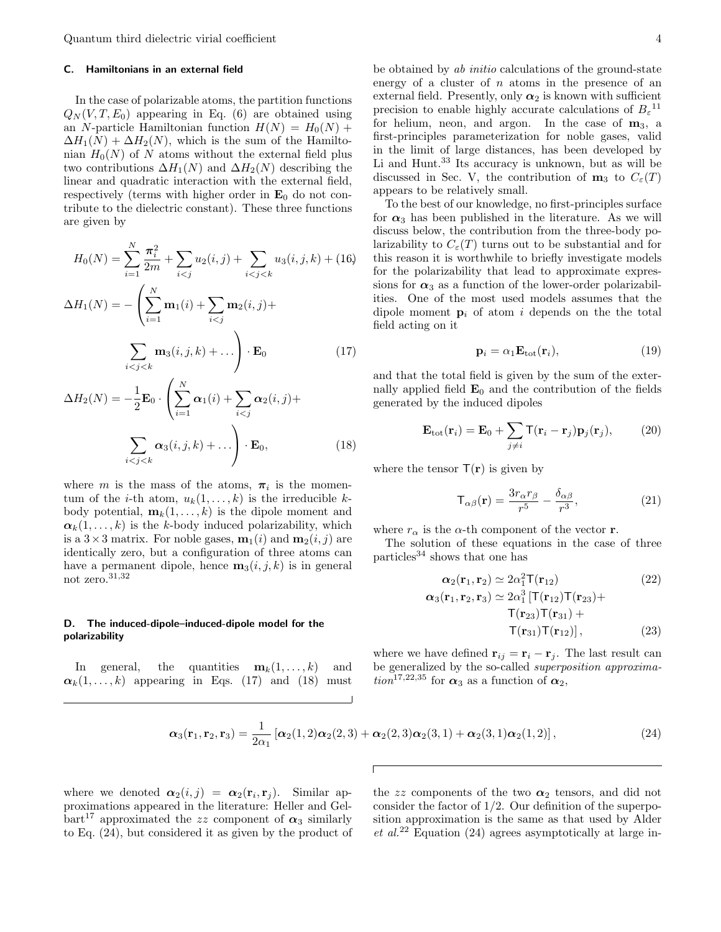## C. Hamiltonians in an external field

In the case of polarizable atoms, the partition functions  $Q_N(V, T, E_0)$  appearing in Eq. (6) are obtained using an N-particle Hamiltonian function  $H(N) = H_0(N) +$  $\Delta H_1(N) + \Delta H_2(N)$ , which is the sum of the Hamiltonian  $H_0(N)$  of N atoms without the external field plus two contributions  $\Delta H_1(N)$  and  $\Delta H_2(N)$  describing the linear and quadratic interaction with the external field, respectively (terms with higher order in  $\mathbf{E}_0$  do not contribute to the dielectric constant). These three functions are given by

$$
H_0(N) = \sum_{i=1}^{N} \frac{\pi_i^2}{2m} + \sum_{i < j} u_2(i, j) + \sum_{i < j < k} u_3(i, j, k) + (16)
$$

$$
\Delta H_1(N) = -\left(\sum_{i=1}^N \mathbf{m}_1(i) + \sum_{i < j} \mathbf{m}_2(i, j) + \sum_{i < j < k} \mathbf{m}_3(i, j, k) + \dots\right) \cdot \mathbf{E}_0 \tag{17}
$$

$$
\Delta H_2(N) = -\frac{1}{2} \mathbf{E}_0 \cdot \left( \sum_{i=1}^N \alpha_1(i) + \sum_{i < j} \alpha_2(i, j) + \sum_{i < j < k} \alpha_3(i, j, k) + \dots \right) \cdot \mathbf{E}_0,\tag{18}
$$

where m is the mass of the atoms,  $\pi_i$  is the momentum of the *i*-th atom,  $u_k(1,\ldots,k)$  is the irreducible kbody potential,  $\mathbf{m}_k(1,\ldots,k)$  is the dipole moment and  $\alpha_k(1,\ldots,k)$  is the k-body induced polarizability, which is a  $3\times 3$  matrix. For noble gases,  $\mathbf{m}_1(i)$  and  $\mathbf{m}_2(i, i)$  are identically zero, but a configuration of three atoms can have a permanent dipole, hence  $\mathbf{m}_3(i, j, k)$  is in general not zero. $^{31,32}\,$ 

#### D. The induced-dipole–induced-dipole model for the polarizability

In general, the quantities  $\mathbf{m}_k(1,\ldots,k)$  and  $\alpha_k(1,\ldots,k)$  appearing in Eqs. (17) and (18) must

be obtained by ab initio calculations of the ground-state energy of a cluster of  $n$  atoms in the presence of an external field. Presently, only  $\alpha_2$  is known with sufficient precision to enable highly accurate calculations of  $B_{\varepsilon}^{-11}$ for helium, neon, and argon. In the case of  $m_3$ , a first-principles parameterization for noble gases, valid in the limit of large distances, has been developed by Li and Hunt.<sup>33</sup> Its accuracy is unknown, but as will be discussed in Sec. V, the contribution of  $m_3$  to  $C_{\varepsilon}(T)$ appears to be relatively small.

To the best of our knowledge, no first-principles surface for  $\alpha_3$  has been published in the literature. As we will discuss below, the contribution from the three-body polarizability to  $C_{\varepsilon}(T)$  turns out to be substantial and for this reason it is worthwhile to briefly investigate models for the polarizability that lead to approximate expressions for  $\alpha_3$  as a function of the lower-order polarizabilities. One of the most used models assumes that the dipole moment  $\mathbf{p}_i$  of atom i depends on the the total field acting on it

$$
\mathbf{p}_i = \alpha_1 \mathbf{E}_{\text{tot}}(\mathbf{r}_i),\tag{19}
$$

and that the total field is given by the sum of the externally applied field  $\mathbf{E}_0$  and the contribution of the fields generated by the induced dipoles

$$
\mathbf{E}_{\text{tot}}(\mathbf{r}_i) = \mathbf{E}_0 + \sum_{j \neq i} \mathsf{T}(\mathbf{r}_i - \mathbf{r}_j) \mathbf{p}_j(\mathbf{r}_j), \qquad (20)
$$

where the tensor  $T(r)$  is given by

$$
\mathsf{T}_{\alpha\beta}(\mathbf{r}) = \frac{3r_{\alpha}r_{\beta}}{r^5} - \frac{\delta_{\alpha\beta}}{r^3},\tag{21}
$$

where  $r_{\alpha}$  is the  $\alpha$ -th component of the vector **r**.

The solution of these equations in the case of three particles<sup>34</sup> shows that one has

$$
\alpha_2(\mathbf{r}_1, \mathbf{r}_2) \simeq 2\alpha_1^2 \mathsf{T}(\mathbf{r}_{12})
$$
(22)  

$$
\alpha_3(\mathbf{r}_1, \mathbf{r}_2, \mathbf{r}_3) \simeq 2\alpha_1^3 [\mathsf{T}(\mathbf{r}_{12}) \mathsf{T}(\mathbf{r}_{23}) + \mathsf{T}(\mathbf{r}_{23}) \mathsf{T}(\mathbf{r}_{31}) + \mathsf{T}(\mathbf{r}_{31}) \mathsf{T}(\mathbf{r}_{12})],
$$

where we have defined  $\mathbf{r}_{ij} = \mathbf{r}_i - \mathbf{r}_j$ . The last result can be generalized by the so-called superposition approxima- $\frac{1}{\sin^{17},22,35}$  for  $\alpha_3$  as a function of  $\alpha_2$ ,

$$
\boldsymbol{\alpha}_3(\mathbf{r}_1, \mathbf{r}_2, \mathbf{r}_3) = \frac{1}{2\alpha_1} \left[ \boldsymbol{\alpha}_2(1, 2) \boldsymbol{\alpha}_2(2, 3) + \boldsymbol{\alpha}_2(2, 3) \boldsymbol{\alpha}_2(3, 1) + \boldsymbol{\alpha}_2(3, 1) \boldsymbol{\alpha}_2(1, 2) \right],\tag{24}
$$

where we denoted  $\alpha_2(i,j) = \alpha_2(\mathbf{r}_i, \mathbf{r}_j)$ . Similar approximations appeared in the literature: Heller and Gel $bar<sup>17</sup>$  approximated the zz component of  $\alpha_3$  similarly to Eq. (24), but considered it as given by the product of

the zz components of the two  $\alpha_2$  tensors, and did not consider the factor of  $1/2$ . Our definition of the superposition approximation is the same as that used by Alder  $et~al.^{22}$  Equation (24) agrees asymptotically at large in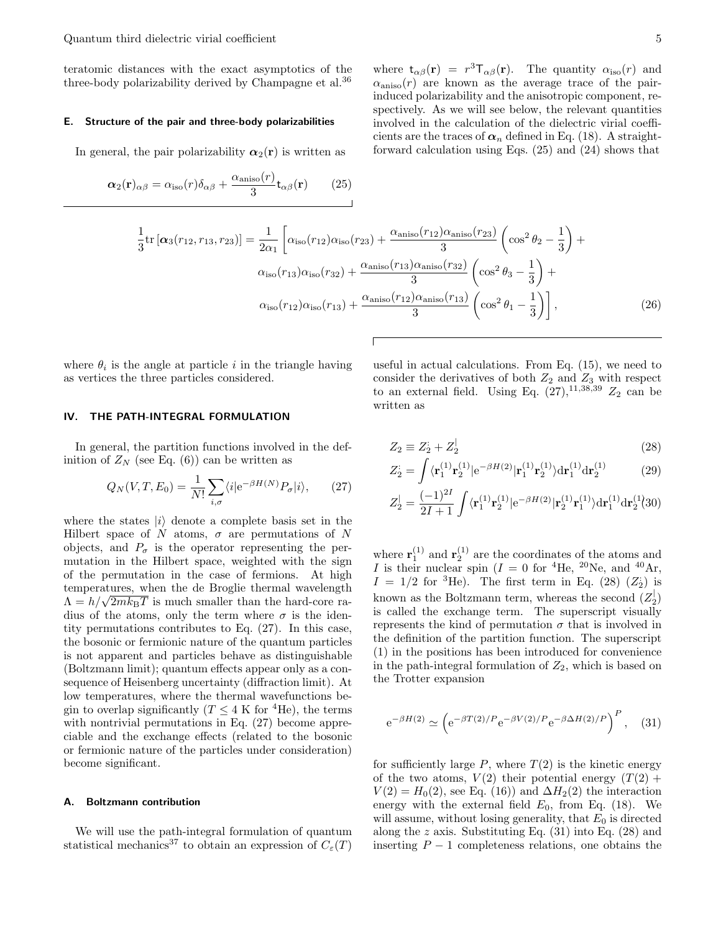teratomic distances with the exact asymptotics of the three-body polarizability derived by Champagne et al.<sup>36</sup>

#### E. Structure of the pair and three-body polarizabilities

In general, the pair polarizability  $\alpha_2(r)$  is written as

$$
\alpha_2(\mathbf{r})_{\alpha\beta} = \alpha_{\text{iso}}(r)\delta_{\alpha\beta} + \frac{\alpha_{\text{aniso}}(r)}{3}\mathbf{t}_{\alpha\beta}(\mathbf{r})
$$
 (25)

where  $t_{\alpha\beta}(\mathbf{r}) = r^3 \mathsf{T}_{\alpha\beta}(\mathbf{r})$ . The quantity  $\alpha_{\text{iso}}(r)$  and  $\alpha_{\text{aniso}}(r)$  are known as the average trace of the pairinduced polarizability and the anisotropic component, respectively. As we will see below, the relevant quantities involved in the calculation of the dielectric virial coefficients are the traces of  $\alpha_n$  defined in Eq. (18). A straightforward calculation using Eqs. (25) and (24) shows that

$$
\frac{1}{3}\text{tr}\left[\alpha_{3}(r_{12},r_{13},r_{23})\right] = \frac{1}{2\alpha_{1}}\left[\alpha_{\text{iso}}(r_{12})\alpha_{\text{iso}}(r_{23}) + \frac{\alpha_{\text{aniso}}(r_{12})\alpha_{\text{aniso}}(r_{23})}{3}\left(\cos^{2}\theta_{2} - \frac{1}{3}\right) + \alpha_{\text{iso}}(r_{13})\alpha_{\text{iso}}(r_{32}) + \frac{\alpha_{\text{aniso}}(r_{13})\alpha_{\text{aniso}}(r_{32})}{3}\left(\cos^{2}\theta_{3} - \frac{1}{3}\right) + \alpha_{\text{iso}}(r_{12})\alpha_{\text{iso}}(r_{13}) + \frac{\alpha_{\text{aniso}}(r_{12})\alpha_{\text{aniso}}(r_{13})}{3}\left(\cos^{2}\theta_{1} - \frac{1}{3}\right)\right],\tag{26}
$$

where  $\theta_i$  is the angle at particle i in the triangle having as vertices the three particles considered.

#### IV. THE PATH-INTEGRAL FORMULATION

In general, the partition functions involved in the definition of  $Z_N$  (see Eq. (6)) can be written as

$$
Q_N(V, T, E_0) = \frac{1}{N!} \sum_{i, \sigma} \langle i | e^{-\beta H(N)} P_{\sigma} | i \rangle, \qquad (27)
$$

where the states  $|i\rangle$  denote a complete basis set in the Hilbert space of N atoms,  $\sigma$  are permutations of N objects, and  $P_{\sigma}$  is the operator representing the permutation in the Hilbert space, weighted with the sign of the permutation in the case of fermions. At high temperatures, when the de Broglie thermal wavelength temperatures, when the de Brogne thermal wavelength  $\Lambda = h/\sqrt{2mk_\text{B}T}$  is much smaller than the hard-core radius of the atoms, only the term where  $\sigma$  is the identity permutations contributes to Eq. (27). In this case, the bosonic or fermionic nature of the quantum particles is not apparent and particles behave as distinguishable (Boltzmann limit); quantum effects appear only as a consequence of Heisenberg uncertainty (diffraction limit). At low temperatures, where the thermal wavefunctions begin to overlap significantly ( $T \leq 4$  K for <sup>4</sup>He), the terms with nontrivial permutations in Eq. (27) become appreciable and the exchange effects (related to the bosonic or fermionic nature of the particles under consideration) become significant.

#### A. Boltzmann contribution

We will use the path-integral formulation of quantum statistical mechanics<sup>37</sup> to obtain an expression of  $C_{\varepsilon}(T)$  useful in actual calculations. From Eq. (15), we need to consider the derivatives of both  $Z_2$  and  $Z_3$  with respect to an external field. Using Eq.  $(27)$ ,<sup>11,38,39</sup>  $Z_2$  can be written as

$$
Z_2 \equiv Z_2^{\prime} + Z_2^{\prime} \tag{28}
$$

$$
Z_2^{\cdot} = \int \langle \mathbf{r}_1^{(1)} \mathbf{r}_2^{(1)} | e^{-\beta H(2)} | \mathbf{r}_1^{(1)} \mathbf{r}_2^{(1)} \rangle \mathrm{d} \mathbf{r}_1^{(1)} \mathrm{d} \mathbf{r}_2^{(1)} \tag{29}
$$

$$
Z_2^{\parallel} = \frac{(-1)^{2I}}{2I+1} \int \langle \mathbf{r}_1^{(1)} \mathbf{r}_2^{(1)} | e^{-\beta H(2)} | \mathbf{r}_2^{(1)} \mathbf{r}_1^{(1)} \rangle \mathrm{d} \mathbf{r}_1^{(1)} \mathrm{d} \mathbf{r}_2^{(1)} \langle 30 \rangle
$$

where  $\mathbf{r}_1^{(1)}$  and  $\mathbf{r}_2^{(1)}$  are the coordinates of the atoms and I is their nuclear spin  $(I = 0$  for <sup>4</sup>He, <sup>20</sup>Ne, and <sup>40</sup>Ar,  $I = 1/2$  for <sup>3</sup>He). The first term in Eq. (28) ( $Z_2$ ) is known as the Boltzmann term, whereas the second  $(Z_2^{\vert})$ is called the exchange term. The superscript visually represents the kind of permutation  $\sigma$  that is involved in the definition of the partition function. The superscript (1) in the positions has been introduced for convenience in the path-integral formulation of  $Z_2$ , which is based on the Trotter expansion

$$
e^{-\beta H(2)} \simeq \left( e^{-\beta T(2)/P} e^{-\beta V(2)/P} e^{-\beta \Delta H(2)/P} \right)^P
$$
, (31)

for sufficiently large  $P$ , where  $T(2)$  is the kinetic energy of the two atoms,  $V(2)$  their potential energy  $(T(2) +$  $V(2) = H_0(2)$ , see Eq. (16)) and  $\Delta H_2(2)$  the interaction energy with the external field  $E_0$ , from Eq. (18). We will assume, without losing generality, that  $E_0$  is directed along the z axis. Substituting Eq.  $(31)$  into Eq.  $(28)$  and inserting  $P-1$  completeness relations, one obtains the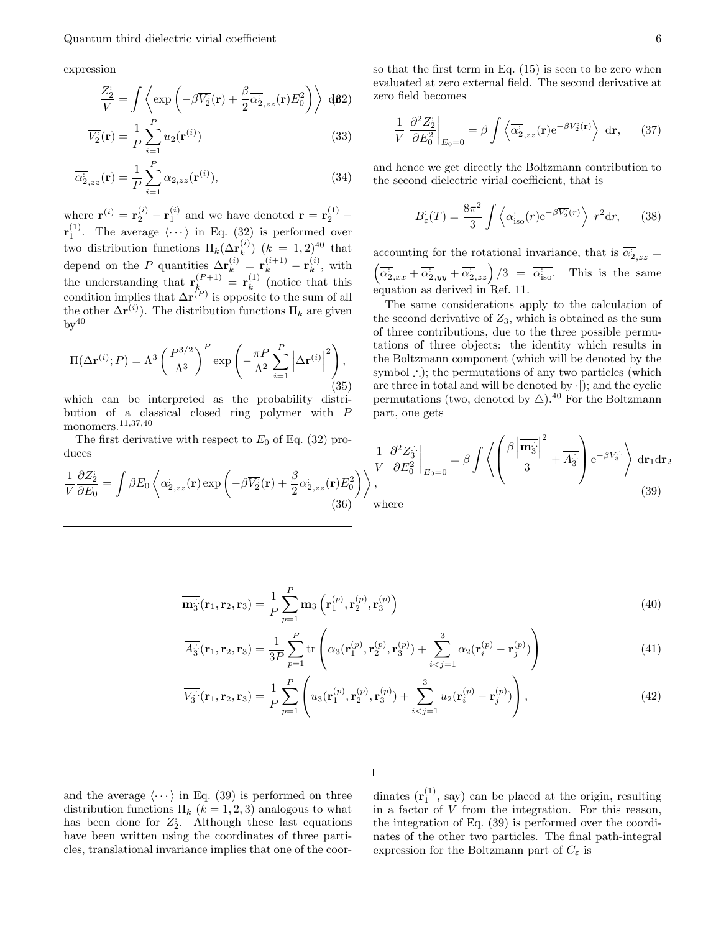expression

1 V  $\partial Z_2^{\cdot}$ 

$$
\frac{Z_2^2}{V} = \int \left\langle \exp\left(-\beta \overline{V_2^c}(\mathbf{r}) + \frac{\beta}{2} \overline{\alpha}_{2,zz}^2(\mathbf{r}) E_0^2 \right) \right\rangle d\mathbf{\beta}^2
$$

$$
\overline{V_2}(\mathbf{r}) = \frac{1}{P} \sum_{i=1}^{P} u_2(\mathbf{r}^{(i)})
$$
\n(33)

$$
\overline{\alpha}_{2,zz}^{\cdot}(\mathbf{r}) = \frac{1}{P} \sum_{i=1}^{P} \alpha_{2,zz}(\mathbf{r}^{(i)}), \tag{34}
$$

where  $\mathbf{r}^{(i)} = \mathbf{r}_2^{(i)} - \mathbf{r}_1^{(i)}$  and we have denoted  $\mathbf{r} = \mathbf{r}_2^{(1)} - \mathbf{r}_2^{(2)}$  $\mathbf{r}_1^{(1)}$ . The average  $\langle \cdots \rangle$  in Eq. (32) is performed over two distribution functions  $\Pi_k(\Delta r_k^{(i)})$  $\binom{k}{k}$  (k = 1,2)<sup>40</sup> that depend on the P quantities  $\Delta \mathbf{r}_k^{(i)} = \mathbf{r}_k^{(i+1)} - \mathbf{r}_k^{(i)}$  $\mathbf{r}_{k}^{(i)}$ , with the understanding that  $\mathbf{r}_k^{(P+1)} = \mathbf{r}_k^{(1)}$  $k^{(1)}$  (notice that this condition implies that  $\Delta \mathbf{r}^{(P)}$  is opposite to the sum of all the other  $\Delta \mathbf{r}^{(i)}$ . The distribution functions  $\Pi_k$  are given  $by<sup>40</sup>$ 

$$
\Pi(\Delta \mathbf{r}^{(i)}; P) = \Lambda^3 \left(\frac{P^{3/2}}{\Lambda^3}\right)^P \exp\left(-\frac{\pi P}{\Lambda^2} \sum_{i=1}^P \left|\Delta \mathbf{r}^{(i)}\right|^2\right),\tag{35}
$$

which can be interpreted as the probability distribution of a classical closed ring polymer with P monomers.11,37,40

The first derivative with respect to  $E_0$  of Eq. (32) produces

so that the first term in Eq. (15) is seen to be zero when evaluated at zero external field. The second derivative at zero field becomes

$$
\frac{1}{V} \left. \frac{\partial^2 Z_2^{\cdot}}{\partial E_0^2} \right|_{E_0 = 0} = \beta \int \left\langle \overline{\alpha}_{2,zz}^{\cdot}(\mathbf{r}) e^{-\beta \overline{V_2^{\cdot}}(\mathbf{r})} \right\rangle \, \mathrm{d}\mathbf{r}, \qquad (37)
$$

and hence we get directly the Boltzmann contribution to the second dielectric virial coefficient, that is

$$
B_{\varepsilon}^{:}(T) = \frac{8\pi^2}{3} \int \left\langle \overline{\alpha_{\rm iso}^{:}}(r) e^{-\beta \overline{V_2}(r)} \right\rangle r^2 dr, \qquad (38)
$$

accounting for the rotational invariance, that is  $\overline{\alpha}_{2,zz} =$  $\left(\overline{\alpha}_{2,xx}^{\cdot}+\overline{\alpha}_{2,yy}^{\cdot}+\overline{\alpha}_{2,zz}^{\cdot}\right)/3 = \overline{\alpha}_{\text{iso}}^{\cdot}$ . This is the same equation as derived in Ref. 11.

The same considerations apply to the calculation of the second derivative of  $Z_3$ , which is obtained as the sum of three contributions, due to the three possible permutations of three objects: the identity which results in the Boltzmann component (which will be denoted by the symbol ∴); the permutations of any two particles (which are three in total and will be denoted by  $\cdot$ ); and the cyclic permutations (two, denoted by  $\triangle$ ).<sup>40</sup> For the Boltzmann part, one gets

The first derivative with respect to 
$$
E_0
$$
 of Eq. (32) pro-  
\nces\n
$$
\frac{\partial Z_2}{\partial E_0} = \int \beta E_0 \left\langle \overline{\alpha}_{2,zz}^{\overline{i}}(\mathbf{r}) \exp\left(-\beta \overline{V_2}(\mathbf{r}) + \frac{\beta}{2} \overline{\alpha}_{2,zz}^{\overline{i}}(\mathbf{r}) E_0^2\right) \right\rangle,
$$
\n(39)

where

(36)

$$
\overline{\mathbf{m}_{3}^{+}}(\mathbf{r}_{1},\mathbf{r}_{2},\mathbf{r}_{3}) = \frac{1}{P} \sum_{p=1}^{P} \mathbf{m}_{3} \left( \mathbf{r}_{1}^{(p)}, \mathbf{r}_{2}^{(p)}, \mathbf{r}_{3}^{(p)} \right)
$$
(40)

$$
\overline{A_3}(\mathbf{r}_1, \mathbf{r}_2, \mathbf{r}_3) = \frac{1}{3P} \sum_{p=1}^P \text{tr}\left(\alpha_3(\mathbf{r}_1^{(p)}, \mathbf{r}_2^{(p)}, \mathbf{r}_3^{(p)}) + \sum_{i < j=1}^3 \alpha_2(\mathbf{r}_i^{(p)} - \mathbf{r}_j^{(p)})\right) \tag{41}
$$

$$
\overline{V_3} \cdot (\mathbf{r}_1, \mathbf{r}_2, \mathbf{r}_3) = \frac{1}{P} \sum_{p=1}^{P} \left( u_3(\mathbf{r}_1^{(p)}, \mathbf{r}_2^{(p)}, \mathbf{r}_3^{(p)}) + \sum_{i < j = 1}^{3} u_2(\mathbf{r}_i^{(p)} - \mathbf{r}_j^{(p)}) \right),\tag{42}
$$

and the average  $\langle \cdots \rangle$  in Eq. (39) is performed on three distribution functions  $\Pi_k$   $(k = 1, 2, 3)$  analogous to what has been done for  $Z_2$ . Although these last equations have been written using the coordinates of three particles, translational invariance implies that one of the coor-

dinates  $(\mathbf{r}_1^{(1)}, \text{ say})$  can be placed at the origin, resulting in a factor of V from the integration. For this reason, the integration of Eq. (39) is performed over the coordinates of the other two particles. The final path-integral expression for the Boltzmann part of  $C_{\varepsilon}$  is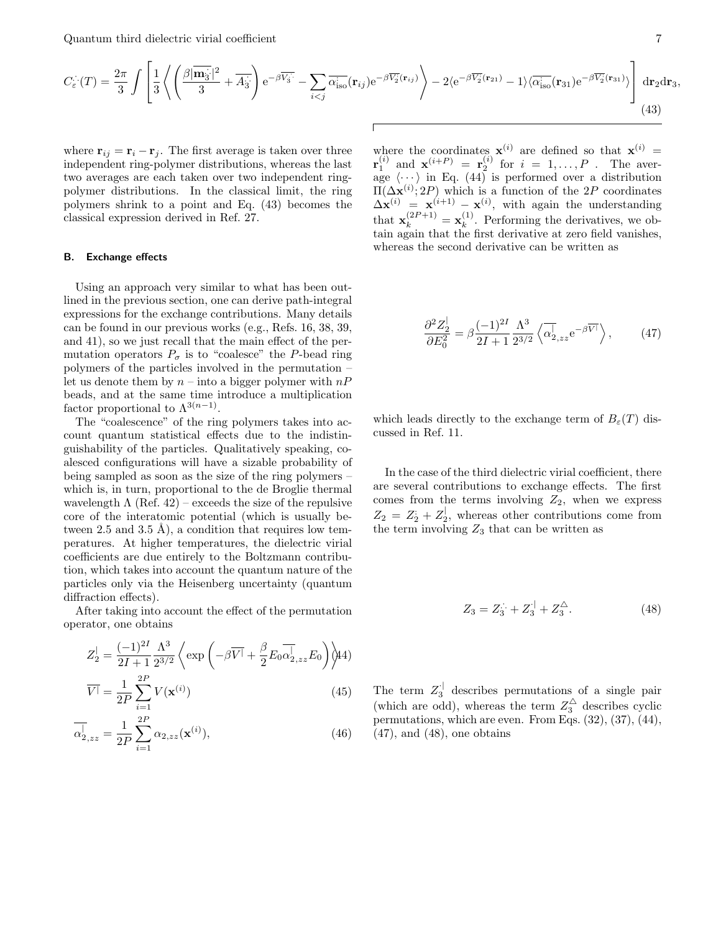Quantum third dielectric virial coefficient 7 7

$$
C_{\varepsilon}^{\cdot \cdot \cdot}(T) = \frac{2\pi}{3} \int \left[ \frac{1}{3} \left\langle \left( \frac{\beta |\overline{\mathbf{m}_{3}}^{2}|^{2}}{3} + \overline{A_{3}}^{2} \right) e^{-\beta \overline{V_{3}}^{2}} - \sum_{i < j} \overline{\alpha_{\mathrm{iso}}^{2}}(\mathbf{r}_{ij}) e^{-\beta \overline{V_{2}}^{2}(\mathbf{r}_{ij})} \right\rangle - 2 \langle e^{-\beta \overline{V_{2}}^{2}(\mathbf{r}_{21})} - 1 \rangle \langle \overline{\alpha_{\mathrm{iso}}^{2}(\mathbf{r}_{31})} e^{-\beta \overline{V_{2}}^{2}(\mathbf{r}_{31})} \rangle \right] d\mathbf{r}_{2} d\mathbf{r}_{3},\tag{43}
$$

where  $\mathbf{r}_{ij} = \mathbf{r}_i - \mathbf{r}_j$ . The first average is taken over three independent ring-polymer distributions, whereas the last two averages are each taken over two independent ringpolymer distributions. In the classical limit, the ring polymers shrink to a point and Eq. (43) becomes the classical expression derived in Ref. 27.

#### B. Exchange effects

Using an approach very similar to what has been outlined in the previous section, one can derive path-integral expressions for the exchange contributions. Many details can be found in our previous works (e.g., Refs. 16, 38, 39, and 41), so we just recall that the main effect of the permutation operators  $P_{\sigma}$  is to "coalesce" the P-bead ring polymers of the particles involved in the permutation – let us denote them by  $n-$  into a bigger polymer with  $nP$ beads, and at the same time introduce a multiplication factor proportional to  $\Lambda^{3(n-1)}$ .

The "coalescence" of the ring polymers takes into account quantum statistical effects due to the indistinguishability of the particles. Qualitatively speaking, coalesced configurations will have a sizable probability of being sampled as soon as the size of the ring polymers – which is, in turn, proportional to the de Broglie thermal wavelength  $\Lambda$  (Ref. 42) – exceeds the size of the repulsive core of the interatomic potential (which is usually between 2.5 and 3.5 Å), a condition that requires low temperatures. At higher temperatures, the dielectric virial coefficients are due entirely to the Boltzmann contribution, which takes into account the quantum nature of the particles only via the Heisenberg uncertainty (quantum diffraction effects).

After taking into account the effect of the permutation operator, one obtains

$$
Z_2^{\parallel} = \frac{(-1)^{2I}}{2I + 1} \frac{\Lambda^3}{2^{3/2}} \left\langle \exp\left(-\beta \overline{V} + \frac{\beta}{2} E_0 \overline{\alpha}_{2,zz}^{\parallel} E_0 \right) \right\rangle \downarrow 4)
$$

$$
\overline{V}^{\parallel} = \frac{1}{2P} \sum_{i=1}^{2P} V(\mathbf{x}^{(i)}) \tag{45}
$$

$$
\overline{\alpha}_{2,zz}^{\parallel} = \frac{1}{2P} \sum_{i=1}^{2P} \alpha_{2,zz}(\mathbf{x}^{(i)}),
$$
\n(46)

where the coordinates  $\mathbf{x}^{(i)}$  are defined so that  $\mathbf{x}^{(i)}$  =  ${\bf r}_1^{(i)}$  and  ${\bf x}^{(i+P)} = {\bf r}_2^{(i)}$  for  $i = 1, ..., P$ . The average  $\langle \cdots \rangle$  in Eq. (44) is performed over a distribution  $\Pi(\Delta \mathbf{x}^{(i)}; 2P)$  which is a function of the 2P coordinates  $\Delta \mathbf{x}^{(i)} = \mathbf{x}^{(i+1)} - \mathbf{x}^{(i)}$ , with again the understanding that  $\mathbf{x}_k^{(2P+1)} = \mathbf{x}_k^{(1)}$  $\kappa^{(1)}$ . Performing the derivatives, we obtain again that the first derivative at zero field vanishes, whereas the second derivative can be written as

$$
\frac{\partial^2 Z_2^{\prime}}{\partial E_0^2} = \beta \frac{(-1)^{2I}}{2I + 1} \frac{\Lambda^3}{2^{3/2}} \left\langle \overline{\alpha}^{\parallel}_{2,zz} e^{-\beta \overline{V}^{\parallel}} \right\rangle, \tag{47}
$$

which leads directly to the exchange term of  $B_{\varepsilon}(T)$  discussed in Ref. 11.

In the case of the third dielectric virial coefficient, there are several contributions to exchange effects. The first comes from the terms involving  $Z_2$ , when we express  $Z_2 = Z_2 + Z_2^{\dagger}$ , whereas other contributions come from the term involving  $Z_3$  that can be written as

$$
Z_3 = Z_3 + Z_3^{\perp} + Z_3^{\triangle}.
$$
 (48)

The term  $Z_3^{\dagger}$  describes permutations of a single pair (which are odd), whereas the term  $Z_3^{\triangle}$  describes cyclic permutations, which are even. From Eqs. (32), (37), (44),  $(47)$ , and  $(48)$ , one obtains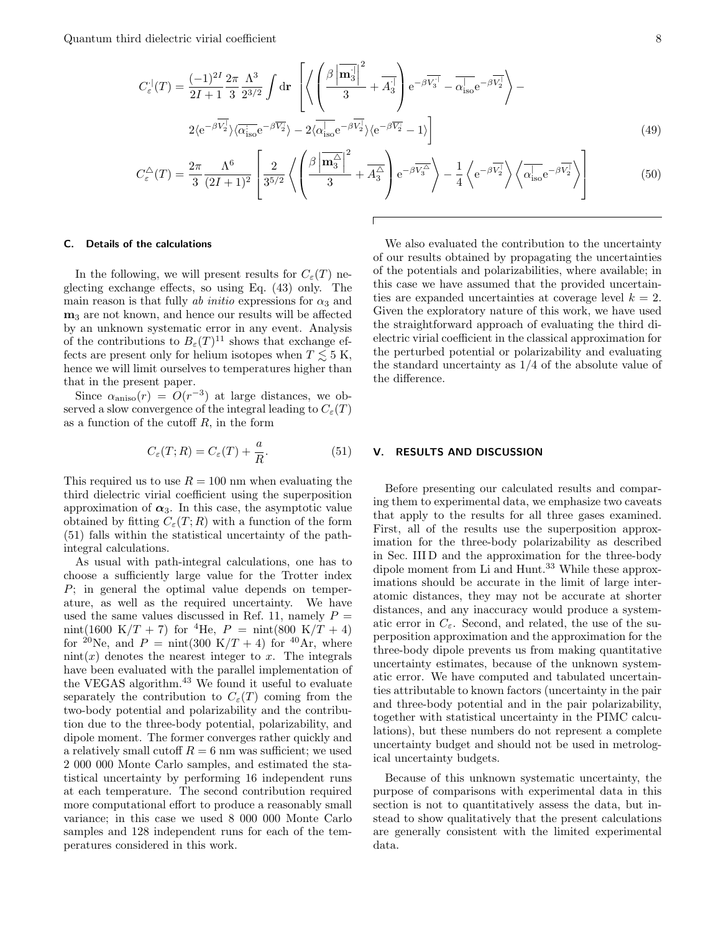Quantum third dielectric virial coefficient 8

$$
C_{\varepsilon}^{1}(T) = \frac{(-1)^{2I}}{2I + 1} \frac{2\pi}{3} \frac{\Lambda^{3}}{2^{3/2}} \int d\mathbf{r} \left[ \left\langle \left( \frac{\beta \left| \mathbf{m}_{3}^{1} \right|^{2}}{3} + \overline{A}_{3}^{1} \right) e^{-\beta \overline{V_{3}}^{1}} - \overline{\alpha|_{\text{iso}}} e^{-\beta \overline{V_{2}}^{1}} \right\rangle - 2\langle e^{-\beta \overline{V_{2}}^{1}} \rangle \langle \overline{\alpha|_{\text{iso}}} e^{-\beta \overline{V_{2}}^{1}} \rangle - 2\langle \overline{\alpha|_{\text{iso}}} e^{-\beta \overline{V_{2}}^{1}} \rangle \langle e^{-\beta \overline{V_{2}}^{1}} - 1 \rangle \right]
$$
(49)

$$
C_{\varepsilon}^{\triangle}(T) = \frac{2\pi}{3} \frac{\Lambda^6}{(2I+1)^2} \left[ \frac{2}{3^{5/2}} \left\langle \left( \frac{\beta \left| \overline{\mathbf{m}_3^{\triangle}} \right|^2}{3} + \overline{A_3^{\triangle}} \right) e^{-\beta \overline{V_3^{\triangle}}} \right\rangle - \frac{1}{4} \left\langle e^{-\beta \overline{V_2^{\perp}}} \right\rangle \left\langle \overline{\alpha_{\rm iso}^{\parallel}} e^{-\beta \overline{V_2^{\perp}}} \right\rangle \right]
$$
(50)

#### C. Details of the calculations

In the following, we will present results for  $C_{\varepsilon}(T)$  neglecting exchange effects, so using Eq. (43) only. The main reason is that fully ab initio expressions for  $\alpha_3$  and m<sup>3</sup> are not known, and hence our results will be affected by an unknown systematic error in any event. Analysis of the contributions to  $B_{\varepsilon}(T)^{11}$  shows that exchange effects are present only for helium isotopes when  $T \lesssim 5$  K, hence we will limit ourselves to temperatures higher than that in the present paper.

Since  $\alpha_{aniso}(r) = O(r^{-3})$  at large distances, we observed a slow convergence of the integral leading to  $C_{\varepsilon}(T)$ as a function of the cutoff  $R$ , in the form

$$
C_{\varepsilon}(T;R) = C_{\varepsilon}(T) + \frac{a}{R}.
$$
\n(51)

This required us to use  $R = 100$  nm when evaluating the third dielectric virial coefficient using the superposition approximation of  $\alpha_3$ . In this case, the asymptotic value obtained by fitting  $C_{\varepsilon}(T;R)$  with a function of the form (51) falls within the statistical uncertainty of the pathintegral calculations.

As usual with path-integral calculations, one has to choose a sufficiently large value for the Trotter index P; in general the optimal value depends on temperature, as well as the required uncertainty. We have used the same values discussed in Ref. 11, namely  $P =$ nint(1600 K/T + 7) for <sup>4</sup>He,  $P = \text{nint}(800 \text{ K}/T + 4)$ for <sup>20</sup>Ne, and  $P = \text{nint}(300 \text{ K}/T + 4)$  for <sup>40</sup>Ar, where  $\text{nint}(x)$  denotes the nearest integer to x. The integrals have been evaluated with the parallel implementation of the VEGAS algorithm.<sup>43</sup> We found it useful to evaluate separately the contribution to  $C_{\varepsilon}(T)$  coming from the two-body potential and polarizability and the contribution due to the three-body potential, polarizability, and dipole moment. The former converges rather quickly and a relatively small cutoff  $R = 6$  nm was sufficient; we used 2 000 000 Monte Carlo samples, and estimated the statistical uncertainty by performing 16 independent runs at each temperature. The second contribution required more computational effort to produce a reasonably small variance; in this case we used 8 000 000 Monte Carlo samples and 128 independent runs for each of the temperatures considered in this work.

We also evaluated the contribution to the uncertainty of our results obtained by propagating the uncertainties of the potentials and polarizabilities, where available; in this case we have assumed that the provided uncertainties are expanded uncertainties at coverage level  $k = 2$ . Given the exploratory nature of this work, we have used the straightforward approach of evaluating the third dielectric virial coefficient in the classical approximation for the perturbed potential or polarizability and evaluating the standard uncertainty as 1/4 of the absolute value of the difference.

# V. RESULTS AND DISCUSSION

Before presenting our calculated results and comparing them to experimental data, we emphasize two caveats that apply to the results for all three gases examined. First, all of the results use the superposition approximation for the three-body polarizability as described in Sec. III D and the approximation for the three-body dipole moment from Li and Hunt.<sup>33</sup> While these approximations should be accurate in the limit of large interatomic distances, they may not be accurate at shorter distances, and any inaccuracy would produce a systematic error in  $C_{\varepsilon}$ . Second, and related, the use of the superposition approximation and the approximation for the three-body dipole prevents us from making quantitative uncertainty estimates, because of the unknown systematic error. We have computed and tabulated uncertainties attributable to known factors (uncertainty in the pair and three-body potential and in the pair polarizability, together with statistical uncertainty in the PIMC calculations), but these numbers do not represent a complete uncertainty budget and should not be used in metrological uncertainty budgets.

Because of this unknown systematic uncertainty, the purpose of comparisons with experimental data in this section is not to quantitatively assess the data, but instead to show qualitatively that the present calculations are generally consistent with the limited experimental data.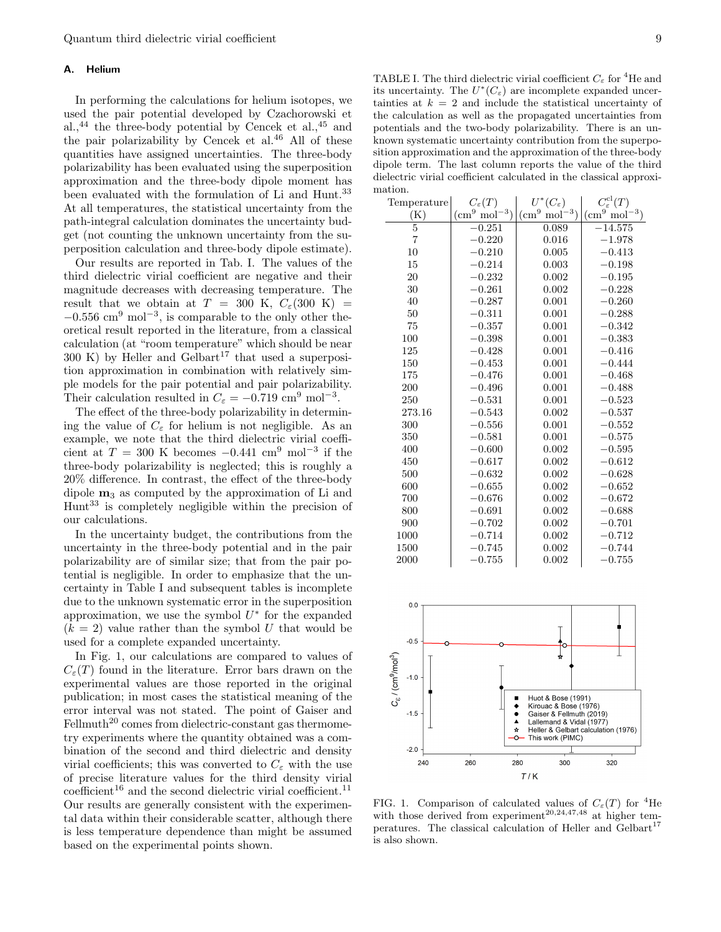## A. Helium

In performing the calculations for helium isotopes, we used the pair potential developed by Czachorowski et al., $^{44}$  the three-body potential by Cencek et al., $^{45}$  and the pair polarizability by Cencek et al. $46$  All of these quantities have assigned uncertainties. The three-body polarizability has been evaluated using the superposition approximation and the three-body dipole moment has been evaluated with the formulation of Li and Hunt.<sup>33</sup> At all temperatures, the statistical uncertainty from the path-integral calculation dominates the uncertainty budget (not counting the unknown uncertainty from the superposition calculation and three-body dipole estimate).

Our results are reported in Tab. I. The values of the third dielectric virial coefficient are negative and their magnitude decreases with decreasing temperature. The result that we obtain at  $T = 300$  K,  $C_{\varepsilon}(300 \text{ K}) =$  $-0.556$  cm<sup>9</sup> mol<sup>-3</sup>, is comparable to the only other theoretical result reported in the literature, from a classical calculation (at "room temperature" which should be near  $300 \text{ K}$ ) by Heller and Gelbart<sup>17</sup> that used a superposition approximation in combination with relatively simple models for the pair potential and pair polarizability. Their calculation resulted in  $C_{\varepsilon} = -0.719 \text{ cm}^9 \text{ mol}^{-3}$ .

The effect of the three-body polarizability in determining the value of  $C_{\varepsilon}$  for helium is not negligible. As an example, we note that the third dielectric virial coefficient at  $T = 300$  K becomes  $-0.441$  cm<sup>9</sup> mol<sup>-3</sup> if the three-body polarizability is neglected; this is roughly a 20% difference. In contrast, the effect of the three-body dipole  $m_3$  as computed by the approximation of Li and Hunt<sup>33</sup> is completely negligible within the precision of our calculations.

In the uncertainty budget, the contributions from the uncertainty in the three-body potential and in the pair polarizability are of similar size; that from the pair potential is negligible. In order to emphasize that the uncertainty in Table I and subsequent tables is incomplete due to the unknown systematic error in the superposition approximation, we use the symbol  $U^*$  for the expanded  $(k = 2)$  value rather than the symbol U that would be used for a complete expanded uncertainty.

In Fig. 1, our calculations are compared to values of  $C_{\varepsilon}(T)$  found in the literature. Error bars drawn on the experimental values are those reported in the original publication; in most cases the statistical meaning of the error interval was not stated. The point of Gaiser and  $Fellmuth<sup>20</sup> comes from dielectric-constant gas thermome$ try experiments where the quantity obtained was a combination of the second and third dielectric and density virial coefficients; this was converted to  $C_{\varepsilon}$  with the use of precise literature values for the third density virial  $\text{coefficient}^{16}$  and the second dielectric virial coefficient.<sup>11</sup> Our results are generally consistent with the experimental data within their considerable scatter, although there is less temperature dependence than might be assumed based on the experimental points shown.

TABLE I. The third dielectric virial coefficient  $C_{\varepsilon}$  for <sup>4</sup>He and its uncertainty. The  $U^*(C_{\varepsilon})$  are incomplete expanded uncertainties at  $k = 2$  and include the statistical uncertainty of the calculation as well as the propagated uncertainties from potentials and the two-body polarizability. There is an unknown systematic uncertainty contribution from the superposition approximation and the approximation of the three-body dipole term. The last column reports the value of the third dielectric virial coefficient calculated in the classical approximation.

| Temperature    | $C_{\varepsilon}(T)$             | $U^*(C_{\varepsilon})$                | $C_{\varepsilon}^{\text{cl}}(T)$ |
|----------------|----------------------------------|---------------------------------------|----------------------------------|
| (K)            | $\text{(cm}^9 \text{ mol}^{-3})$ | $\mathrm{mol}^{-3})$<br>$\rm (cm^{9}$ | $\text{(cm}^9 \text{ mol}^{-3})$ |
| $\overline{5}$ | $-0.251$                         | 0.089                                 | $-\overline{14.575}$             |
| $\overline{7}$ | $-0.220$                         | 0.016                                 | $-1.978$                         |
| 10             | $-0.210$                         | 0.005                                 | $-0.413$                         |
| 15             | $-0.214$                         | 0.003                                 | $-0.198$                         |
| 20             | $-0.232$                         | 0.002                                 | $-0.195$                         |
| 30             | $-0.261$                         | 0.002                                 | $-0.228$                         |
| 40             | $-0.287$                         | 0.001                                 | $-0.260$                         |
| 50             | $-0.311$                         | 0.001                                 | $-0.288$                         |
| 75             | $-0.357$                         | 0.001                                 | $-0.342$                         |
| 100            | $-0.398$                         | 0.001                                 | $-0.383$                         |
| 125            | $-0.428$                         | 0.001                                 | $-0.416$                         |
| 150            | $-0.453$                         | 0.001                                 | $-0.444$                         |
| 175            | $-0.476$                         | 0.001                                 | $-0.468$                         |
| 200            | $-0.496$                         | 0.001                                 | $-0.488$                         |
| 250            | $-0.531$                         | 0.001                                 | $-0.523$                         |
| 273.16         | $-0.543$                         | 0.002                                 | $-0.537$                         |
| 300            | $-0.556$                         | 0.001                                 | $-0.552$                         |
| 350            | $-0.581$                         | 0.001                                 | $-0.575$                         |
| 400            | $-0.600$                         | 0.002                                 | $-0.595$                         |
| 450            | $-0.617$                         | 0.002                                 | $-0.612$                         |
| 500            | $-0.632$                         | 0.002                                 | $-0.628$                         |
| 600            | $-0.655$                         | 0.002                                 | $-0.652$                         |
| 700            | $-0.676$                         | 0.002                                 | $-0.672$                         |
| 800            | $-0.691$                         | 0.002                                 | $-0.688$                         |
| 900            | $-0.702$                         | 0.002                                 | $-0.701$                         |
| 1000           | $-0.714$                         | 0.002                                 | $-0.712$                         |
| 1500           | $-0.745$                         | 0.002                                 | $-0.744$                         |
| 2000           | $-0.755$                         | 0.002                                 | $-0.755$                         |



FIG. 1. Comparison of calculated values of  $C_{\varepsilon}(T)$  for <sup>4</sup>He with those derived from experiment<sup>20,24,47,48</sup> at higher temperatures. The classical calculation of Heller and Gelbart<sup>17</sup> is also shown.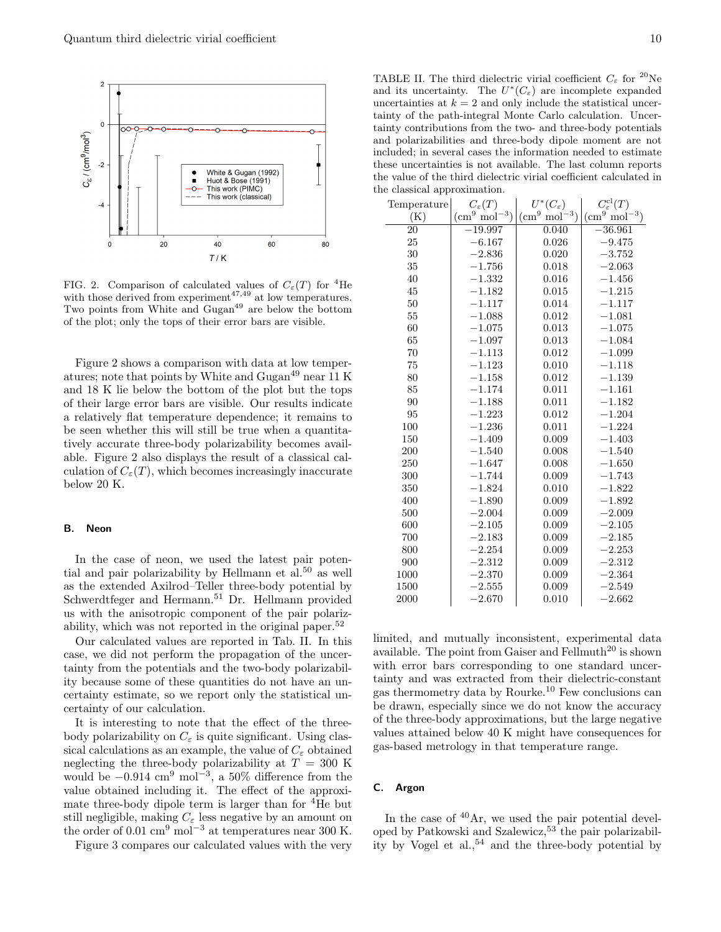

FIG. 2. Comparison of calculated values of  $C_{\varepsilon}(T)$  for <sup>4</sup>He with those derived from experiment<sup>47,49</sup> at low temperatures. Two points from White and Gugan<sup>49</sup> are below the bottom of the plot; only the tops of their error bars are visible.

Figure 2 shows a comparison with data at low temperatures; note that points by White and Gugan<sup>49</sup> near 11 K and 18 K lie below the bottom of the plot but the tops of their large error bars are visible. Our results indicate a relatively flat temperature dependence; it remains to be seen whether this will still be true when a quantitatively accurate three-body polarizability becomes available. Figure 2 also displays the result of a classical calculation of  $C_{\varepsilon}(T)$ , which becomes increasingly inaccurate below 20 K.

#### B. Neon

In the case of neon, we used the latest pair potential and pair polarizability by Hellmann et al.<sup>50</sup> as well as the extended Axilrod–Teller three-body potential by Schwerdtfeger and Hermann.<sup>51</sup> Dr. Hellmann provided us with the anisotropic component of the pair polarizability, which was not reported in the original paper.<sup>52</sup>

Our calculated values are reported in Tab. II. In this case, we did not perform the propagation of the uncertainty from the potentials and the two-body polarizability because some of these quantities do not have an uncertainty estimate, so we report only the statistical uncertainty of our calculation.

It is interesting to note that the effect of the threebody polarizability on  $C_{\varepsilon}$  is quite significant. Using classical calculations as an example, the value of  $C_{\varepsilon}$  obtained neglecting the three-body polarizability at  $T = 300$  K would be  $-0.914 \text{ cm}^9 \text{ mol}^{-3}$ , a 50% difference from the value obtained including it. The effect of the approximate three-body dipole term is larger than for <sup>4</sup>He but still negligible, making  $C_{\varepsilon}$  less negative by an amount on the order of 0.01 cm<sup>9</sup> mol<sup>-3</sup> at temperatures near 300 K.

Figure 3 compares our calculated values with the very

TABLE II. The third dielectric virial coefficient  $C_{\varepsilon}$  for <sup>20</sup>Ne and its uncertainty. The  $U^*(C_{\varepsilon})$  are incomplete expanded uncertainties at  $k = 2$  and only include the statistical uncertainty of the path-integral Monte Carlo calculation. Uncertainty contributions from the two- and three-body potentials and polarizabilities and three-body dipole moment are not included; in several cases the information needed to estimate these uncertainties is not available. The last column reports the value of the third dielectric virial coefficient calculated in the classical approximation.

| Temperature | $C_{\varepsilon}(T)$             | $U^*(C_\varepsilon)$              | $C^{\rm cl}_{\varepsilon}(T)$               |
|-------------|----------------------------------|-----------------------------------|---------------------------------------------|
| (K)         | $\text{(cm}^9 \text{ mol}^{-3})$ | $\overline{(cm)}^9$<br>$mol^{-3}$ | $\left(\text{cm}^9 \text{ mol}^{-3}\right)$ |
| 20          | $-19.997$                        | 0.040                             | $-36.961$                                   |
| 25          | $-6.167$                         | 0.026                             | $-9.475$                                    |
| 30          | $-2.836$                         | 0.020                             | $-3.752$                                    |
| 35          | $-1.756$                         | 0.018                             | $-2.063$                                    |
| 40          | $-1.332$                         | 0.016                             | $-1.456$                                    |
| 45          | $-1.182$                         | 0.015                             | $-1.215$                                    |
| 50          | $-1.117$                         | 0.014                             | $-1.117$                                    |
| 55          | $-1.088$                         | 0.012                             | $-1.081$                                    |
| 60          | $-1.075$                         | 0.013                             | $-1.075$                                    |
| 65          | $-1.097$                         | 0.013                             | $-1.084$                                    |
| 70          | $-1.113$                         | 0.012                             | $-1.099$                                    |
| 75          | $-1.123$                         | 0.010                             | $-1.118$                                    |
| 80          | $-1.158$                         | 0.012                             | $-1.139$                                    |
| 85          | $-1.174$                         | 0.011                             | $-1.161$                                    |
| 90          | $-1.188$                         | 0.011                             | $-1.182$                                    |
| 95          | $-1.223$                         | 0.012                             | $-1.204$                                    |
| 100         | $-1.236$                         | 0.011                             | $-1.224$                                    |
| 150         | $-1.409$                         | 0.009                             | $-1.403$                                    |
| 200         | $-1.540$                         | 0.008                             | $-1.540$                                    |
| 250         | $-1.647$                         | 0.008                             | $-1.650$                                    |
| 300         | $-1.744$                         | 0.009                             | $-1.743$                                    |
| 350         | $-1.824$                         | 0.010                             | $-1.822$                                    |
| 400         | $-1.890$                         | 0.009                             | $-1.892$                                    |
| 500         | $-2.004$                         | 0.009                             | $-2.009$                                    |
| 600         | $-2.105$                         | 0.009                             | $-2.105$                                    |
| 700         | $-2.183$                         | 0.009                             | $-2.185$                                    |
| 800         | $-2.254$                         | 0.009                             | $-2.253$                                    |
| 900         | $-2.312$                         | 0.009                             | $-2.312$                                    |
| 1000        | $-2.370$                         | 0.009                             | $-2.364$                                    |
| 1500        | $-2.555$                         | 0.009                             | $-2.549$                                    |
| 2000        | $-2.670$                         | 0.010                             | $-2.662$                                    |

limited, and mutually inconsistent, experimental data available. The point from Gaiser and Fellmuth<sup>20</sup> is shown with error bars corresponding to one standard uncertainty and was extracted from their dielectric-constant gas thermometry data by Rourke.<sup>10</sup> Few conclusions can be drawn, especially since we do not know the accuracy of the three-body approximations, but the large negative values attained below 40 K might have consequences for gas-based metrology in that temperature range.

## C. Argon

In the case of  $40Ar$ , we used the pair potential developed by Patkowski and Szalewicz,<sup>53</sup> the pair polarizability by Vogel et  $al.,<sup>54</sup>$  and the three-body potential by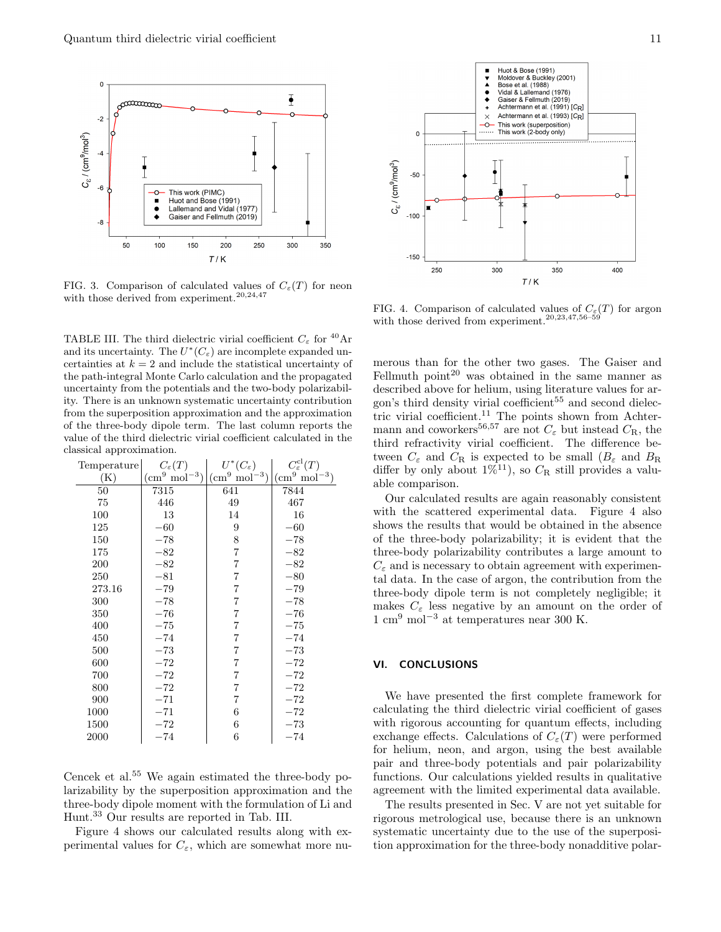

FIG. 3. Comparison of calculated values of  $C_{\varepsilon}(T)$  for neon with those derived from experiment.<sup>20,24,47</sup>

TABLE III. The third dielectric virial coefficient  $C_{\varepsilon}$  for <sup>40</sup>Ar and its uncertainty. The  $U^*(C_\varepsilon)$  are incomplete expanded uncertainties at  $k = 2$  and include the statistical uncertainty of the path-integral Monte Carlo calculation and the propagated uncertainty from the potentials and the two-body polarizability. There is an unknown systematic uncertainty contribution from the superposition approximation and the approximation of the three-body dipole term. The last column reports the value of the third dielectric virial coefficient calculated in the classical approximation.

| Temperature | $C_{\varepsilon}(T)$   | $U^*(C_{\varepsilon})$ | $C_{\varepsilon}^{\text{cl}}(T)$ |
|-------------|------------------------|------------------------|----------------------------------|
| (K)         | $\rm (cm^9\ mol^{-3})$ | $\rm (cm^9\ mol^{-3})$ | $\rm (cm^9\ mol^{-3})$           |
| 50          | $7\overline{315}$      | 641                    | 7844                             |
| 75          | 446                    | 49                     | 467                              |
| 100         | 13                     | 14                     | 16                               |
| 125         | $-60$                  | 9                      | $-60\,$                          |
| 150         | $-78$                  | 8                      | $-78$                            |
| 175         | $^{-82}$               | 7                      | $-82$                            |
| 200         | $-82$                  | 7                      | $-82$                            |
| 250         | $-81$                  | 7                      | $-80$                            |
| 273.16      | $-79$                  | 7                      | $-79$                            |
| 300         | $-78$                  | 7                      | $-78$                            |
| 350         | $-76$                  | 7                      | $-76$                            |
| 400         | $-75$                  | 7                      | $-75$                            |
| 450         | $-74$                  | 7                      | $-74$                            |
| 500         | $-73$                  | 7                      | $-73$                            |
| 600         | $-72$                  | 7                      | $-72$                            |
| 700         | $-72$                  | 7                      | $-72$                            |
| 800         | $-72$                  | 7                      | $-72$                            |
| 900         | $-71$                  | 7                      | $-72$                            |
| 1000        | $-71$                  | 6                      | $-72$                            |
| 1500        | $-72$                  | 6                      | $-73$                            |
| 2000        | $-74$                  | 6                      | $-74$                            |

Cencek et al.<sup>55</sup> We again estimated the three-body polarizability by the superposition approximation and the three-body dipole moment with the formulation of Li and Hunt.<sup>33</sup> Our results are reported in Tab. III.

Figure 4 shows our calculated results along with experimental values for  $C_{\varepsilon}$ , which are somewhat more nu-



FIG. 4. Comparison of calculated values of  $C_{\varepsilon}(T)$  for argon with those derived from experiment.<sup>20,23,47,56–59</sup>

merous than for the other two gases. The Gaiser and Fellmuth point<sup>20</sup> was obtained in the same manner as described above for helium, using literature values for argon's third density virial coefficient<sup>55</sup> and second dielectric virial coefficient.<sup>11</sup> The points shown from Achtermann and coworkers<sup>56,57</sup> are not  $C_{\varepsilon}$  but instead  $C_{\rm R}$ , the third refractivity virial coefficient. The difference between  $C_{\varepsilon}$  and  $C_{\rm R}$  is expected to be small  $(B_{\varepsilon}$  and  $B_{\rm R}$ differ by only about  $1\%^{11}$ , so  $C_R$  still provides a valuable comparison.

Our calculated results are again reasonably consistent with the scattered experimental data. Figure 4 also shows the results that would be obtained in the absence of the three-body polarizability; it is evident that the three-body polarizability contributes a large amount to  $C_{\varepsilon}$  and is necessary to obtain agreement with experimental data. In the case of argon, the contribution from the three-body dipole term is not completely negligible; it makes  $C_{\varepsilon}$  less negative by an amount on the order of  $1 \text{ cm}^9 \text{ mol}^{-3}$  at temperatures near 300 K.

#### VI. CONCLUSIONS

We have presented the first complete framework for calculating the third dielectric virial coefficient of gases with rigorous accounting for quantum effects, including exchange effects. Calculations of  $C_{\varepsilon}(T)$  were performed for helium, neon, and argon, using the best available pair and three-body potentials and pair polarizability functions. Our calculations yielded results in qualitative agreement with the limited experimental data available.

The results presented in Sec. V are not yet suitable for rigorous metrological use, because there is an unknown systematic uncertainty due to the use of the superposition approximation for the three-body nonadditive polar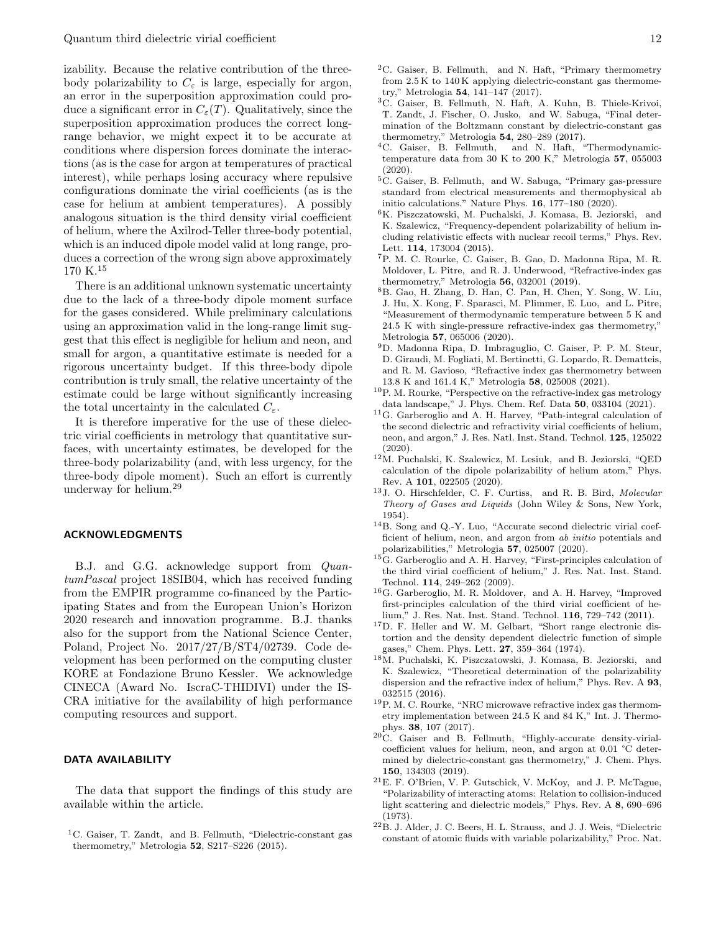izability. Because the relative contribution of the threebody polarizability to  $C_{\varepsilon}$  is large, especially for argon, an error in the superposition approximation could produce a significant error in  $C_{\varepsilon}(T)$ . Qualitatively, since the superposition approximation produces the correct longrange behavior, we might expect it to be accurate at conditions where dispersion forces dominate the interactions (as is the case for argon at temperatures of practical interest), while perhaps losing accuracy where repulsive configurations dominate the virial coefficients (as is the case for helium at ambient temperatures). A possibly analogous situation is the third density virial coefficient of helium, where the Axilrod-Teller three-body potential, which is an induced dipole model valid at long range, produces a correction of the wrong sign above approximately 170 K.<sup>15</sup>

There is an additional unknown systematic uncertainty due to the lack of a three-body dipole moment surface for the gases considered. While preliminary calculations using an approximation valid in the long-range limit suggest that this effect is negligible for helium and neon, and small for argon, a quantitative estimate is needed for a rigorous uncertainty budget. If this three-body dipole contribution is truly small, the relative uncertainty of the estimate could be large without significantly increasing the total uncertainty in the calculated  $C_{\varepsilon}$ .

It is therefore imperative for the use of these dielectric virial coefficients in metrology that quantitative surfaces, with uncertainty estimates, be developed for the three-body polarizability (and, with less urgency, for the three-body dipole moment). Such an effort is currently underway for helium.<sup>29</sup>

#### ACKNOWLEDGMENTS

B.J. and G.G. acknowledge support from QuantumPascal project 18SIB04, which has received funding from the EMPIR programme co-financed by the Participating States and from the European Union's Horizon 2020 research and innovation programme. B.J. thanks also for the support from the National Science Center, Poland, Project No. 2017/27/B/ST4/02739. Code development has been performed on the computing cluster KORE at Fondazione Bruno Kessler. We acknowledge CINECA (Award No. IscraC-THIDIVI) under the IS-CRA initiative for the availability of high performance computing resources and support.

#### DATA AVAILABILITY

The data that support the findings of this study are available within the article.

<sup>1</sup>C. Gaiser, T. Zandt, and B. Fellmuth, "Dielectric-constant gas thermometry," Metrologia 52, S217–S226 (2015).

- <sup>2</sup>C. Gaiser, B. Fellmuth, and N. Haft, "Primary thermometry from 2.5 K to 140 K applying dielectric-constant gas thermometry," Metrologia 54, 141–147 (2017).
- <sup>3</sup>C. Gaiser, B. Fellmuth, N. Haft, A. Kuhn, B. Thiele-Krivoi, T. Zandt, J. Fischer, O. Jusko, and W. Sabuga, "Final determination of the Boltzmann constant by dielectric-constant gas thermometry," Metrologia 54, 280–289 (2017).
- <sup>4</sup>C. Gaiser, B. Fellmuth, and N. Haft, "Thermodynamictemperature data from 30 K to 200 K," Metrologia 57, 055003 (2020).
- <sup>5</sup>C. Gaiser, B. Fellmuth, and W. Sabuga, "Primary gas-pressure standard from electrical measurements and thermophysical ab initio calculations." Nature Phys. 16, 177–180 (2020).
- <sup>6</sup>K. Piszczatowski, M. Puchalski, J. Komasa, B. Jeziorski, and K. Szalewicz, "Frequency-dependent polarizability of helium including relativistic effects with nuclear recoil terms," Phys. Rev. Lett. 114, 173004 (2015).
- <sup>7</sup>P. M. C. Rourke, C. Gaiser, B. Gao, D. Madonna Ripa, M. R. Moldover, L. Pitre, and R. J. Underwood, "Refractive-index gas thermometry," Metrologia 56, 032001 (2019).
- <sup>8</sup>B. Gao, H. Zhang, D. Han, C. Pan, H. Chen, Y. Song, W. Liu, J. Hu, X. Kong, F. Sparasci, M. Plimmer, E. Luo, and L. Pitre, "Measurement of thermodynamic temperature between 5 K and 24.5 K with single-pressure refractive-index gas thermometry," Metrologia 57, 065006 (2020).
- <sup>9</sup>D. Madonna Ripa, D. Imbraguglio, C. Gaiser, P. P. M. Steur, D. Giraudi, M. Fogliati, M. Bertinetti, G. Lopardo, R. Dematteis, and R. M. Gavioso, "Refractive index gas thermometry between 13.8 K and 161.4 K," Metrologia 58, 025008 (2021).
- <sup>10</sup>P. M. Rourke, "Perspective on the refractive-index gas metrology data landscape," J. Phys. Chem. Ref. Data 50, 033104 (2021).
- <sup>11</sup>G. Garberoglio and A. H. Harvey, "Path-integral calculation of the second dielectric and refractivity virial coefficients of helium, neon, and argon," J. Res. Natl. Inst. Stand. Technol. 125, 125022 (2020).
- <sup>12</sup>M. Puchalski, K. Szalewicz, M. Lesiuk, and B. Jeziorski, "QED calculation of the dipole polarizability of helium atom," Phys. Rev. A 101, 022505 (2020).
- <sup>13</sup>J. O. Hirschfelder, C. F. Curtiss, and R. B. Bird, Molecular Theory of Gases and Liquids (John Wiley & Sons, New York, 1954).
- <sup>14</sup>B. Song and Q.-Y. Luo, "Accurate second dielectric virial coefficient of helium, neon, and argon from ab initio potentials and polarizabilities," Metrologia 57, 025007 (2020).
- <sup>15</sup>G. Garberoglio and A. H. Harvey, "First-principles calculation of the third virial coefficient of helium," J. Res. Nat. Inst. Stand. Technol. 114, 249–262 (2009).
- <sup>16</sup>G. Garberoglio, M. R. Moldover, and A. H. Harvey, "Improved first-principles calculation of the third virial coefficient of helium," J. Res. Nat. Inst. Stand. Technol. 116, 729–742 (2011).
- <sup>17</sup>D. F. Heller and W. M. Gelbart, "Short range electronic distortion and the density dependent dielectric function of simple gases," Chem. Phys. Lett. 27, 359–364 (1974).
- <sup>18</sup>M. Puchalski, K. Piszczatowski, J. Komasa, B. Jeziorski, and K. Szalewicz, "Theoretical determination of the polarizability dispersion and the refractive index of helium," Phys. Rev. A 93, 032515 (2016).
- <sup>19</sup>P. M. C. Rourke, "NRC microwave refractive index gas thermometry implementation between 24.5 K and 84 K," Int. J. Thermophys. 38, 107 (2017).
- <sup>20</sup>C. Gaiser and B. Fellmuth, "Highly-accurate density-virialcoefficient values for helium, neon, and argon at 0.01 °C determined by dielectric-constant gas thermometry," J. Chem. Phys. 150, 134303 (2019).
- <sup>21</sup>E. F. O'Brien, V. P. Gutschick, V. McKoy, and J. P. McTague, "Polarizability of interacting atoms: Relation to collision-induced light scattering and dielectric models," Phys. Rev. A 8, 690–696 (1973).
- <sup>22</sup>B. J. Alder, J. C. Beers, H. L. Strauss, and J. J. Weis, "Dielectric constant of atomic fluids with variable polarizability," Proc. Nat.